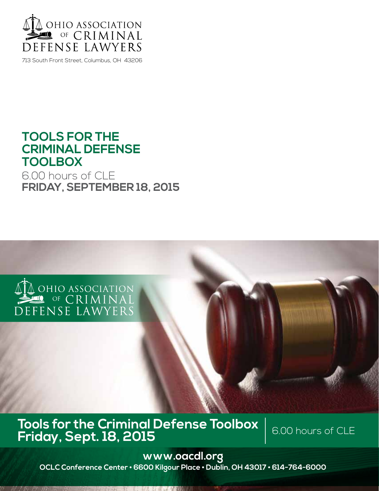

713 South Front Street, Columbus, OH 43206

## **TOOLS FOR THE CRIMINAL DEFENSE TOOLBOX**

6.00 hours of CLE **FRIDAY, SEPTEMBER 18, 2015**



## **Tools for the Criminal Defense Toolbox Friday, Sept. 18, 2015 Example: Consumer Priday, Sept. 18, 2015**

**www.oacdl.org OCLC Conference Center • 6600 Kilgour Place • Dublin, OH 43017 • 614-764-6000**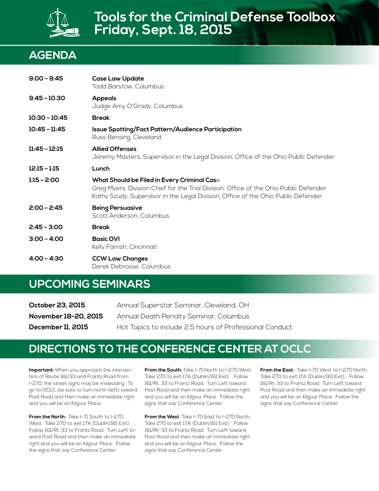

## **AGENDA**

| $9:00 - 9:45$   | <b>Case Law Update</b><br>Todd Barstow, Columbus                                                                                                                                                                          |
|-----------------|---------------------------------------------------------------------------------------------------------------------------------------------------------------------------------------------------------------------------|
| $9:45 - 10:30$  | <b>Appeals</b><br>Judge Amy O'Grady, Columbus                                                                                                                                                                             |
| $10:30 - 10:45$ | <b>Break</b>                                                                                                                                                                                                              |
| $10:45 - 11:45$ | <b>Issue Spotting/Fact Pattern/Audience Participation</b><br>Russ Bensing, Cleveland                                                                                                                                      |
| $11:45 - 12:15$ | <b>Allied Offenses</b><br>Jeremy Masters, Supervisor in the Legal Division, Office of the Ohio Public Defender                                                                                                            |
| $12:15 - 1:15$  | Lunch                                                                                                                                                                                                                     |
| $1:15 - 2:00$   | What Should be Filed in Every Criminal Case<br>Greg Myers, Division Chief for the Trial Division, Office of the Ohio Public Defender<br>Kathy Szudy, Supervisor in the Legal Division, Office of the Ohio Public Defender |
| $2:00 - 2:45$   | <b>Being Persuasive</b><br>Scott Anderson, Columbus                                                                                                                                                                       |
| $2:45 - 3:00$   | <b>Break</b>                                                                                                                                                                                                              |
| $3:00 - 4:00$   | <b>Basic OVI</b><br>Kelly Farrish, Cincinnati                                                                                                                                                                             |
| $4:00 - 4:30$   | <b>CCW Law Changes</b><br>Derek Debrosse, Columbus                                                                                                                                                                        |

## **UPCOMING SEMINARS**

| October 23, 2015         | Annual Superstar Seminar, Cleveland, OH                 |
|--------------------------|---------------------------------------------------------|
| November 18-20, 2015     | Annual Death Penalty Seminar, Columbus                  |
| <b>December 11, 2015</b> | Hot Topics to include 2.5 hours of Professional Conduct |

### **Directions to The Conference Center at OCLC**

**Important:** When you approach the intersection of Route 161/33 and Frantz Road from I-270, the street signs may be misleading. To go to OCLC, be sure to turn north (left) toward Post Road and then make an immediate right and you will be on Kilgour Place.

**From the North:** Take I-71 South to I-270 West. Take 270 to exit 17A (Dublin/161 Exit). Follow 161/Rt. 33 to Frantz Road. Turn Left toward Post Road and then make an immediate right and you will be on Kilgour Place. Follow the signs that say Conference Center.

**From the South:** Take I-71 North to I-270 West. Take 270 to exit 17A (Dublin/161 Exit). Follow 161/Rt. 33 to Frantz Road. Turn Left toward Post Road and then make an immediate right and you will be on Kilgour Place. Follow the signs that say Conference Center.

**From the West**: Take I-70 East to I-270 North. Take 270 to exit 17A (Dublin/161 Exit). Follow 161/Rt. 33 to Frantz Road. Turn Left toward Post Road and then make an immediate right and you will be on Kilgour Place. Follow the signs that say Conference Center.

**From the East:** Take I-70 West to I-270 North. Take 270 to exit 17A (Dublin/161 Exit). Follow 161/Rt. 33 to Frantz Road. Turn Left toward Post Road and then make an immediate right and you will be on Kilgour Place. Follow the signs that say Conference Center.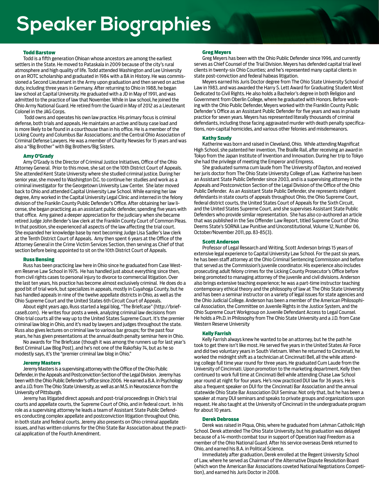# **Speaker Biographies**

#### Todd Barstow

Todd is a fifth generation Ohioan whose ancestors are among the earliest settlers in the State. He moved to Pataskala in 2009 because of the city's rural atmosphere and high quality of life. Todd attended Washington and Lee University on an ROTC scholarship and graduated in 1984 with a BA in History. He was commissioned a Second Lieutenant in the Army upon graduation and then served on active duty, including three years in Germany. After returning to Ohio in 1988, he began law school at Capital University. He graduated with a JD in May of 1991, and was admitted to the practice of law that November. While in law school, he joined the Ohio Army National Guard. He retired from the Guard in May of 2012 as a Lieutenant Colonel in the JAG Corps.

 Todd owns and operates his own law practice. His primary focus is criminal defense, both trials and appeals. He maintains an active and busy case load and is more likely to be found in a courthouse than in his office. He is a member of the Licking County and Columbus Bar Associations; and the Central Ohio Association of Criminal Defense Lawyers. He was a member of Charity Newsies for 15 years and was also a "Big Brother" with Big Brothers/Big Sisters.

#### Amy O'Grady

Amy O'Grady is the Director of Criminal Justice Initiatives, Office of the Ohio Attorney General. Prior to this move, she sat on the 10th District Court of Appeals. She attended Kent State University where she studied criminal justice. During her senior year, she moved to Washington D.C. to continue her studies and work as a criminal investigator for the Georgetown University Law Center. She later moved back to Ohio and attended Capital University Law School. While earning her law degree, Amy worked in the Capital University Legal Clinic and interned in the felony division of the Franklin County Public Defender's Office. After obtaining her law license, she began practicing as an assistant public defender, spending five years with that office. Amy gained a deeper appreciation for the judiciary when she became retired Judge John Bender's law clerk at the Franklin County Court of Common Pleas. In that position, she experienced all aspects of the law affecting the trial court. She expanded her knowledge base by next becoming Judge Lisa Sadler's law clerk at the Tenth District Court of Appeals. Amy then spent 6 years at the Office of the Attorney General in the Crime Victim Services Section, then serving as Chief of that section before being appointed to sit on the 10th District Court of Appeals.

#### Russ Bensing

Russ has been practicing law here in Ohio since he graduated from Case Western Reserve Law School in 1975. He has handled just about everything since then, from civil rights cases to personal injury to divorce to commercial litigation. Over the last ten years, his practice has become almost exclusively criminal. He does do a good bit of trial work, but specializes in appeals, mostly in Cuyahoga County, but he has handled appeals in nine of the twelve appellate districts in Ohio, as well as the Ohio Supreme Court and the United States 6th Circuit Court of Appeals.

About eight years ago, Russ started a legal blog, "The Briefcase" (http://briefcase8.com). He writes four posts a week, analyzing criminal law decisions from Ohio trial courts all the way up to the United States Supreme Court. It's the premier criminal law blog in Ohio, and it's read by lawyers and judges throughout the state. Russ also gives lectures on criminal law to various bar groups; for the past four years, he has given presentations at the annual death penalty seminar here in Ohio.

No awards for The Briefcase (though it was among the runners up for last year's Best Criminal Law Blog Post), and he's not one of the Rakofsky 74, but as he so modestly says, it's the "premier criminal law blog in Ohio."

#### Jeremy Masters

Jeremy Masters is a supervising attorney with the Office of the Ohio Public Defender, in the Appeals and Postconviction Section of the Legal Division. Jeremy has been with the Ohio Public Defender's office since 2006. He earned a B.A. in Psychology and a J.D. from The Ohio State University, as well as an M.S. in Neuroscience from the University of Pittsburgh.

Jeremy has litigated direct appeals and post-trial proceedings in Ohio's trial courts and appellate courts, the Supreme Court of Ohio, and in federal court. In his role as a supervising attorney he leads a team of Assistant State Public Defenders conducting complex appellate and postconviction litigation throughout Ohio, in both state and federal courts. Jeremy also presents on Ohio criminal appellate issues, and has written columns for the Ohio State Bar Association about the practical application of the Fourth Amendment.

#### Greg Meyers

Greg Meyers has been with the Ohio Public Defender since 1996, and currently serves as Chief Counsel of the Trial Division. Meyers has defended capital trial level clients in twenty-six Ohio Counties; and he's represented many capital clients in state post-conviction and federal habeas litigation.

Meyers earned his Juris Doctor degree from The Ohio State University School of Law in 1983, and was awarded the Harry S. Lett Award for Graduating Student Most Dedicated to Civil Rights. He also holds a Bachelor's degree in both Religion and Government from Oberlin College, where he graduated with Honors. Before working with the Ohio Public Defender, Meyers worked with the Franklin County Public Defender's Office as an Assistant Public Defender for five years and was in private practice for seven years. Meyers has represented literally thousands of criminal defendants, including those facing aggravated murder with death penalty specifications, non-capital homicides, and various other felonies and misdemeanors.

#### Kathy Szudy

Katherine was born and raised in Cleveland, Ohio. While attending Magnificat High School, she patented her invention, The Braille Rail, after receiving an award in Tokyo from the Japan Institute of Invention and Innovation. During her trip to Tokyo she had the privilege of meeting the Emperor and Empress.

She graduated summa cum laude from The University of Dayton, and received her juris doctor from The Ohio State University College of Law. Katherine has been an Assistant State Public Defender since 2003, and is a supervising attorney in the Appeals and Postconviction Section of the Legal Division of the Office of the Ohio Public Defender. As an Assistant State Public Defender, she represents indigent defendants in state courts of appeals throughout Ohio, the Ohio Supreme Court, federal district courts, the United States Court of Appeals for the Sixth Circuit, and the United States Supreme Court, and she supervises Assistant State Public Defenders who provide similar representation. She has also co-authored an article that was published in the Sex Offender Law Report, titled Supreme Court of Ohio Deems State's SORNA Law Punitive and Unconstitutional, Volume 12, Number 06, October/November 2011, pp. 83-85(3).

#### Scott Anderson

Professor of Legal Research and Writing, Scott Anderson brings 15 years of extensive legal experience to Capital University Law School. For the past six years, he has been staff attorney at the Ohio Criminal Sentencing Commission and before that served as the Commission's juvenile coordinator. His experience also includes prosecuting adult felony crimes for the Licking County Prosecutor's Office before being promoted to managing attorney of the juvenile and civil divisions. Anderson also brings extensive teaching experience; he was a part-time instructor teaching contemporary ethical theory and the philosophy of law at The Ohio State University and has been a seminar instructor on a variety of legal issues for state agencies and the Ohio Judicial College. Anderson has been a member of the American Philosophical Association, the Committee on Juvenile Rights in the Justice System, and the Ohio Supreme Court Workgroup on Juvenile Defendant Access to Legal Counsel. He holds a Ph.D. in Philosophy from The Ohio State University and a J.D. from Case Western Reserve University

#### Kelly Farrish

Kelly Farrish always knew he wanted to be an attorney, but he the path he took to get there isn't like most. He served five years in the United States Air Force and did two voluntary years in South Vietnam. When he returned to Cincinnati, he worked the midnight shift as a technician at Cincinnati Bell, all the while attending college full time year round for three years. He graduated Cum Laude from the University of Cincinnati. Upon promotion to the marketing department, Kelly then continued to work full time at Cincinnati Bell while attending Chase Law School year round at night for four years. He's now practiced DUI law for 36 years. He is also a frequent speaker on DUI for the Cincinnati Bar Association and the annual statewide Ohio State Bar Association DUI Seminar. Not only that, but he has been a speaker at many DUI seminars and speaks to private groups and organizations upon request. He also taught at the University of Cincinnati in the undergraduate program for about 10 years.

#### Derek Debrosse

Derek was raised in Piqua, Ohio, where he graduated from Lehman Catholic High School. Derek attended The Ohio State University, but his graduation was delayed because of a 14-month combat tour in support of Operation Iraqi Freedom as a member of the Ohio National Guard. After his service overseas Derek returned to Ohio, and earned his B.A. in Political Science.

Immediately after graduation, Derek enrolled at the Regent University School of Law, where he served as Chairman of the Alternative Dispute Resolution Board (which won the American Bar Associations coveted National Negotiations Competition), and earned his Juris Doctor in 2008.